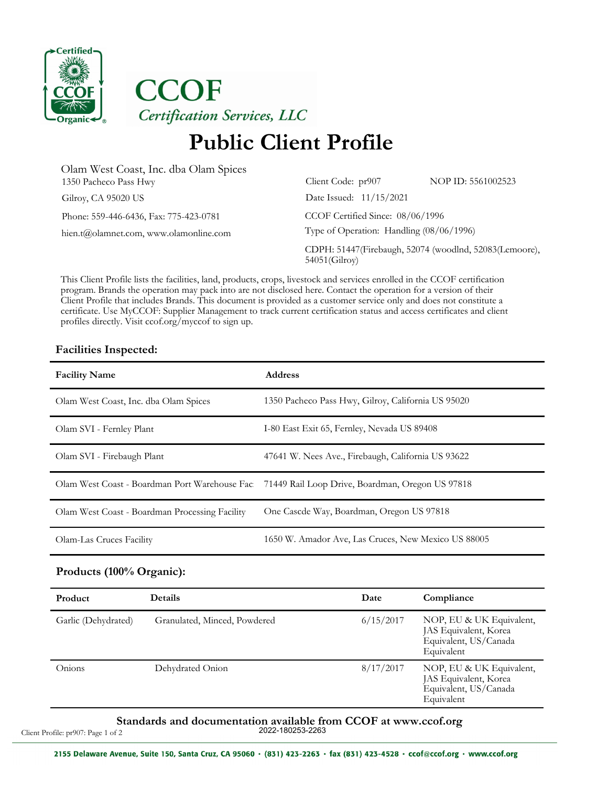

**CCOF** Certification Services, LLC

## **Public Client Profile**

NOP ID: 5561002523

52074 (woodlnd, 52083(Lemoore),

| Olam West Coast, Inc. dba Olam Spices  |                                                              |            |
|----------------------------------------|--------------------------------------------------------------|------------|
| 1350 Pacheco Pass Hwy                  | Client Code: pr907                                           | NOP ID: 5! |
| Gilroy, CA 95020 US                    | Date Issued: 11/15/2021                                      |            |
| Phone: 559-446-6436, Fax: 775-423-0781 | CCOF Certified Since: 08/06/1996                             |            |
| hien.t@olamnet.com, www.olamonline.com | Type of Operation: Handling (08/06/1996)                     |            |
|                                        | CDPH: 51447(Firebaugh, 52074 (woodlnd, 5<br>$54051$ (Gilroy) |            |

This Client Profile lists the facilities, land, products, crops, livestock and services enrolled in the CCOF certification program. Brands the operation may pack into are not disclosed here. Contact the operation for a version of their Client Profile that includes Brands. This document is provided as a customer service only and does not constitute a certificate. Use MyCCOF: Supplier Management to track current certification status and access certificates and client profiles directly. Visit ccof.org/myccof to sign up.

### **Facilities Inspected:**

| <b>Facility Name</b>                           | <b>Address</b>                                                                                 |
|------------------------------------------------|------------------------------------------------------------------------------------------------|
| Olam West Coast, Inc. dba Olam Spices          | 1350 Pacheco Pass Hwy, Gilroy, California US 95020                                             |
| Olam SVI - Fernley Plant                       | I-80 East Exit 65, Fernley, Nevada US 89408                                                    |
| Olam SVI - Firebaugh Plant                     | 47641 W. Nees Ave., Firebaugh, California US 93622                                             |
|                                                | Olam West Coast - Boardman Port Warehouse Fac 71449 Rail Loop Drive, Boardman, Oregon US 97818 |
| Olam West Coast - Boardman Processing Facility | One Cascde Way, Boardman, Oregon US 97818                                                      |
| Olam-Las Cruces Facility                       | 1650 W. Amador Ave, Las Cruces, New Mexico US 88005                                            |

#### **Products (100% Organic):**

| Product             | <b>Details</b>               | Date      | Compliance                                                                               |
|---------------------|------------------------------|-----------|------------------------------------------------------------------------------------------|
| Garlic (Dehydrated) | Granulated, Minced, Powdered | 6/15/2017 | NOP, EU & UK Equivalent,<br>JAS Equivalent, Korea<br>Equivalent, US/Canada<br>Equivalent |
| Onions              | Dehydrated Onion             | 8/17/2017 | NOP, EU & UK Equivalent,<br>JAS Equivalent, Korea<br>Equivalent, US/Canada<br>Equivalent |

### Standards and documentation available from CCOF at www.ccof.org<br><sup>2022-180253-2263</sup>

Client Profile: pr907: Page 1 of 2